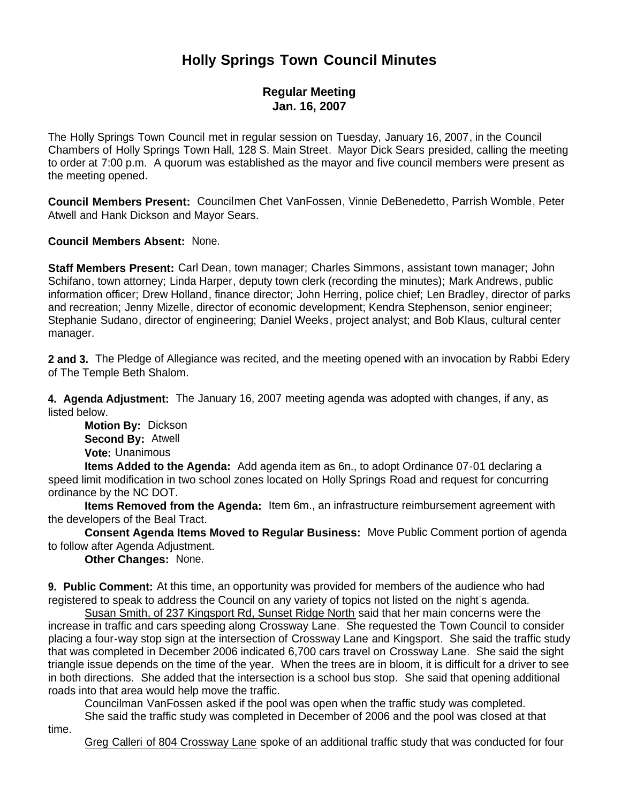## **Holly Springs Town Council Minutes**

## **Regular Meeting Jan. 16, 2007**

The Holly Springs Town Council met in regular session on Tuesday, January 16, 2007, in the Council Chambers of Holly Springs Town Hall, 128 S. Main Street. Mayor Dick Sears presided, calling the meeting to order at 7:00 p.m. A quorum was established as the mayor and five council members were present as the meeting opened.

**Council Members Present:** Councilmen Chet VanFossen, Vinnie DeBenedetto, Parrish Womble, Peter Atwell and Hank Dickson and Mayor Sears.

**Council Members Absent:** None.

**Staff Members Present:** Carl Dean, town manager; Charles Simmons, assistant town manager; John Schifano, town attorney; Linda Harper, deputy town clerk (recording the minutes); Mark Andrews, public information officer; Drew Holland, finance director; John Herring, police chief; Len Bradley, director of parks and recreation; Jenny Mizelle, director of economic development; Kendra Stephenson, senior engineer; Stephanie Sudano, director of engineering; Daniel Weeks, project analyst; and Bob Klaus, cultural center manager.

**2 and 3.** The Pledge of Allegiance was recited, and the meeting opened with an invocation by Rabbi Edery of The Temple Beth Shalom.

**4. Agenda Adjustment:** The January 16, 2007 meeting agenda was adopted with changes, if any, as listed below.

 **Motion By:** Dickson **Second By:** Atwell **Vote:** Unanimous

 **Items Added to the Agenda:** Add agenda item as 6n., to adopt Ordinance 07-01 declaring a speed limit modification in two school zones located on Holly Springs Road and request for concurring ordinance by the NC DOT.

 **Items Removed from the Agenda:** Item 6m., an infrastructure reimbursement agreement with the developers of the Beal Tract.

 **Consent Agenda Items Moved to Regular Business:** Move Public Comment portion of agenda to follow after Agenda Adjustment.

**Other Changes:** None.

**9. Public Comment:** At this time, an opportunity was provided for members of the audience who had registered to speak to address the Council on any variety of topics not listed on the night's agenda.

Susan Smith, of 237 Kingsport Rd, Sunset Ridge North said that her main concerns were the increase in traffic and cars speeding along Crossway Lane. She requested the Town Council to consider placing a four-way stop sign at the intersection of Crossway Lane and Kingsport. She said the traffic study that was completed in December 2006 indicated 6,700 cars travel on Crossway Lane. She said the sight triangle issue depends on the time of the year. When the trees are in bloom, it is difficult for a driver to see in both directions. She added that the intersection is a school bus stop. She said that opening additional roads into that area would help move the traffic.

Councilman VanFossen asked if the pool was open when the traffic study was completed. She said the traffic study was completed in December of 2006 and the pool was closed at that

time.

Greg Calleri of 804 Crossway Lane spoke of an additional traffic study that was conducted for four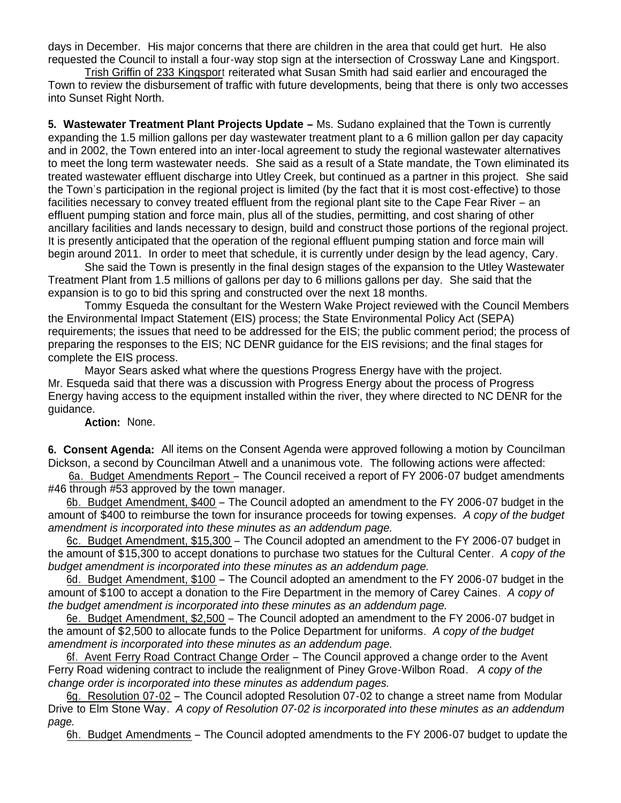days in December. His major concerns that there are children in the area that could get hurt. He also requested the Council to install a four-way stop sign at the intersection of Crossway Lane and Kingsport.

Trish Griffin of 233 Kingsport reiterated what Susan Smith had said earlier and encouraged the Town to review the disbursement of traffic with future developments, being that there is only two accesses into Sunset Right North.

**5. Wastewater Treatment Plant Projects Update –** Ms. Sudano explained that the Town is currently expanding the 1.5 million gallons per day wastewater treatment plant to a 6 million gallon per day capacity and in 2002, the Town entered into an inter-local agreement to study the regional wastewater alternatives to meet the long term wastewater needs. She said as a result of a State mandate, the Town eliminated its treated wastewater effluent discharge into Utley Creek, but continued as a partner in this project. She said the Town's participation in the regional project is limited (by the fact that it is most cost-effective) to those facilities necessary to convey treated effluent from the regional plant site to the Cape Fear River – an effluent pumping station and force main, plus all of the studies, permitting, and cost sharing of other ancillary facilities and lands necessary to design, build and construct those portions of the regional project. It is presently anticipated that the operation of the regional effluent pumping station and force main will begin around 2011. In order to meet that schedule, it is currently under design by the lead agency, Cary.

She said the Town is presently in the final design stages of the expansion to the Utley Wastewater Treatment Plant from 1.5 millions of gallons per day to 6 millions gallons per day. She said that the expansion is to go to bid this spring and constructed over the next 18 months.

Tommy Esqueda the consultant for the Western Wake Project reviewed with the Council Members the Environmental Impact Statement (EIS) process; the State Environmental Policy Act (SEPA) requirements; the issues that need to be addressed for the EIS; the public comment period; the process of preparing the responses to the EIS; NC DENR guidance for the EIS revisions; and the final stages for complete the EIS process.

Mayor Sears asked what where the questions Progress Energy have with the project. Mr. Esqueda said that there was a discussion with Progress Energy about the process of Progress Energy having access to the equipment installed within the river, they where directed to NC DENR for the guidance.

**Action:** None.

**6. Consent Agenda:** All items on the Consent Agenda were approved following a motion by Councilman Dickson, a second by Councilman Atwell and a unanimous vote. The following actions were affected:

6a. Budget Amendments Report – The Council received a report of FY 2006-07 budget amendments #46 through #53 approved by the town manager.

 6b. Budget Amendment, \$400 – The Council adopted an amendment to the FY 2006-07 budget in the amount of \$400 to reimburse the town for insurance proceeds for towing expenses. *A copy of the budget amendment is incorporated into these minutes as an addendum page.*

 6c. Budget Amendment, \$15,300 – The Council adopted an amendment to the FY 2006-07 budget in the amount of \$15,300 to accept donations to purchase two statues for the Cultural Center. *A copy of the budget amendment is incorporated into these minutes as an addendum page.*

 6d. Budget Amendment, \$100 – The Council adopted an amendment to the FY 2006-07 budget in the amount of \$100 to accept a donation to the Fire Department in the memory of Carey Caines. *A copy of the budget amendment is incorporated into these minutes as an addendum page.*

 6e. Budget Amendment, \$2,500 – The Council adopted an amendment to the FY 2006-07 budget in the amount of \$2,500 to allocate funds to the Police Department for uniforms. *A copy of the budget amendment is incorporated into these minutes as an addendum page.*

 6f. Avent Ferry Road Contract Change Order – The Council approved a change order to the Avent Ferry Road widening contract to include the realignment of Piney Grove-Wilbon Road. *A copy of the change order is incorporated into these minutes as addendum pages.*

 6g. Resolution 07-02 – The Council adopted Resolution 07-02 to change a street name from Modular Drive to Elm Stone Way. *A copy of Resolution 07-02 is incorporated into these minutes as an addendum page.*

6h. Budget Amendments – The Council adopted amendments to the FY 2006-07 budget to update the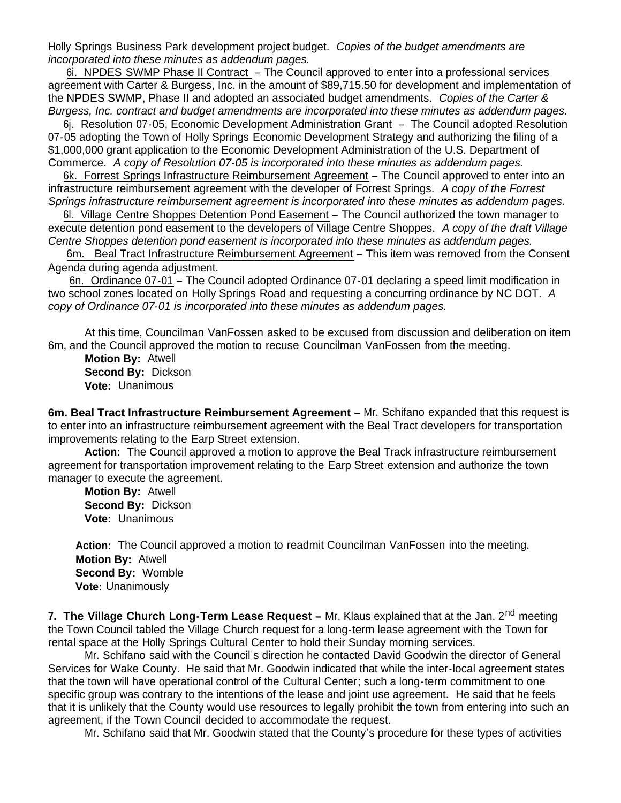Holly Springs Business Park development project budget. *Copies of the budget amendments are incorporated into these minutes as addendum pages.*

 6i. NPDES SWMP Phase II Contract – The Council approved to enter into a professional services agreement with Carter & Burgess, Inc. in the amount of \$89,715.50 for development and implementation of the NPDES SWMP, Phase II and adopted an associated budget amendments. *Copies of the Carter & Burgess, Inc. contract and budget amendments are incorporated into these minutes as addendum pages.*

 6j. Resolution 07-05, Economic Development Administration Grant – The Council adopted Resolution 07-05 adopting the Town of Holly Springs Economic Development Strategy and authorizing the filing of a \$1,000,000 grant application to the Economic Development Administration of the U.S. Department of Commerce. *A copy of Resolution 07-05 is incorporated into these minutes as addendum pages.*

 6k. Forrest Springs Infrastructure Reimbursement Agreement – The Council approved to enter into an infrastructure reimbursement agreement with the developer of Forrest Springs. *A copy of the Forrest Springs infrastructure reimbursement agreement is incorporated into these minutes as addendum pages.*

6l. Village Centre Shoppes Detention Pond Easement – The Council authorized the town manager to execute detention pond easement to the developers of Village Centre Shoppes. *A copy of the draft Village Centre Shoppes detention pond easement is incorporated into these minutes as addendum pages.*

 6m. Beal Tract Infrastructure Reimbursement Agreement – This item was removed from the Consent Agenda during agenda adjustment.

 6n. Ordinance 07-01 – The Council adopted Ordinance 07-01 declaring a speed limit modification in two school zones located on Holly Springs Road and requesting a concurring ordinance by NC DOT. *A copy of Ordinance 07-01 is incorporated into these minutes as addendum pages.*

At this time, Councilman VanFossen asked to be excused from discussion and deliberation on item 6m, and the Council approved the motion to recuse Councilman VanFossen from the meeting.

 **Motion By:** Atwell **Second By:** Dickson **Vote:** Unanimous

**6m. Beal Tract Infrastructure Reimbursement Agreement –** Mr. Schifano expanded that this request is to enter into an infrastructure reimbursement agreement with the Beal Tract developers for transportation improvements relating to the Earp Street extension.

**Action:** The Council approved a motion to approve the Beal Track infrastructure reimbursement agreement for transportation improvement relating to the Earp Street extension and authorize the town manager to execute the agreement.

 **Motion By:** Atwell **Second By:** Dickson **Vote:** Unanimous

 **Action:** The Council approved a motion to readmit Councilman VanFossen into the meeting.  **Motion By:** Atwell  **Second By:** Womble  **Vote:** Unanimously

**7.** The Village Church Long-Term Lease Request - Mr. Klaus explained that at the Jan. 2<sup>nd</sup> meeting the Town Council tabled the Village Church request for a long-term lease agreement with the Town for rental space at the Holly Springs Cultural Center to hold their Sunday morning services.

Mr. Schifano said with the Council's direction he contacted David Goodwin the director of General Services for Wake County. He said that Mr. Goodwin indicated that while the inter-local agreement states that the town will have operational control of the Cultural Center; such a long-term commitment to one specific group was contrary to the intentions of the lease and joint use agreement. He said that he feels that it is unlikely that the County would use resources to legally prohibit the town from entering into such an agreement, if the Town Council decided to accommodate the request.

Mr. Schifano said that Mr. Goodwin stated that the County's procedure for these types of activities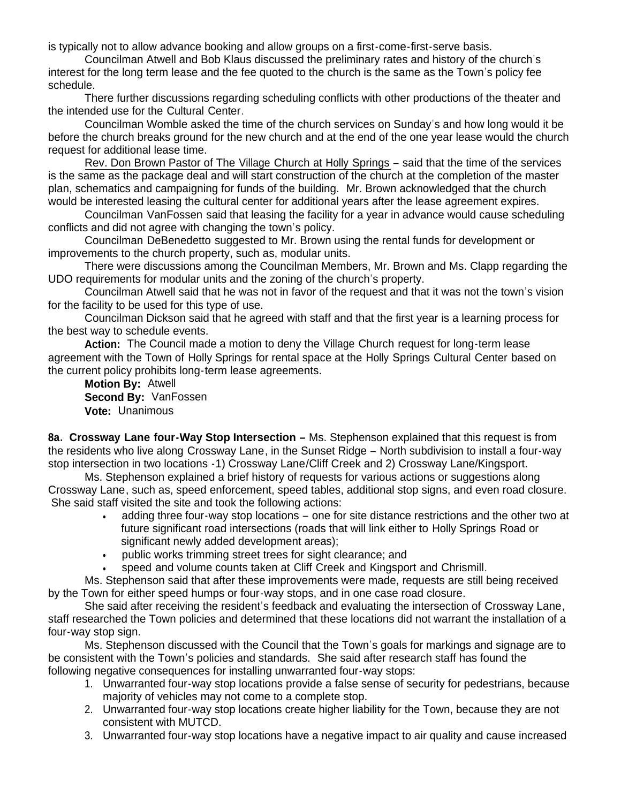is typically not to allow advance booking and allow groups on a first-come-first-serve basis.

Councilman Atwell and Bob Klaus discussed the preliminary rates and history of the church's interest for the long term lease and the fee quoted to the church is the same as the Town's policy fee schedule.

There further discussions regarding scheduling conflicts with other productions of the theater and the intended use for the Cultural Center.

Councilman Womble asked the time of the church services on Sunday's and how long would it be before the church breaks ground for the new church and at the end of the one year lease would the church request for additional lease time.

Rev. Don Brown Pastor of The Village Church at Holly Springs – said that the time of the services is the same as the package deal and will start construction of the church at the completion of the master plan, schematics and campaigning for funds of the building. Mr. Brown acknowledged that the church would be interested leasing the cultural center for additional years after the lease agreement expires.

Councilman VanFossen said that leasing the facility for a year in advance would cause scheduling conflicts and did not agree with changing the town's policy.

 Councilman DeBenedetto suggested to Mr. Brown using the rental funds for development or improvements to the church property, such as, modular units.

 There were discussions among the Councilman Members, Mr. Brown and Ms. Clapp regarding the UDO requirements for modular units and the zoning of the church's property.

Councilman Atwell said that he was not in favor of the request and that it was not the town's vision for the facility to be used for this type of use.

Councilman Dickson said that he agreed with staff and that the first year is a learning process for the best way to schedule events.

 **Action:** The Council made a motion to deny the Village Church request for long-term lease agreement with the Town of Holly Springs for rental space at the Holly Springs Cultural Center based on the current policy prohibits long-term lease agreements.

 **Motion By:** Atwell **Second By:** VanFossen **Vote:** Unanimous

**8a. Crossway Lane four-Way Stop Intersection –** Ms. Stephenson explained that this request is from the residents who live along Crossway Lane, in the Sunset Ridge – North subdivision to install a four-way stop intersection in two locations -1) Crossway Lane/Cliff Creek and 2) Crossway Lane/Kingsport.

 Ms. Stephenson explained a brief history of requests for various actions or suggestions along Crossway Lane, such as, speed enforcement, speed tables, additional stop signs, and even road closure. She said staff visited the site and took the following actions:

- adding three four-way stop locations one for site distance restrictions and the other two at future significant road intersections (roads that will link either to Holly Springs Road or significant newly added development areas);
- public works trimming street trees for sight clearance; and
- speed and volume counts taken at Cliff Creek and Kingsport and Chrismill.

Ms. Stephenson said that after these improvements were made, requests are still being received by the Town for either speed humps or four-way stops, and in one case road closure.

 She said after receiving the resident's feedback and evaluating the intersection of Crossway Lane, staff researched the Town policies and determined that these locations did not warrant the installation of a four-way stop sign.

Ms. Stephenson discussed with the Council that the Town's goals for markings and signage are to be consistent with the Town's policies and standards. She said after research staff has found the following negative consequences for installing unwarranted four-way stops:

- 1. Unwarranted four-way stop locations provide a false sense of security for pedestrians, because majority of vehicles may not come to a complete stop.
- 2. Unwarranted four-way stop locations create higher liability for the Town, because they are not consistent with MUTCD.
- 3. Unwarranted four-way stop locations have a negative impact to air quality and cause increased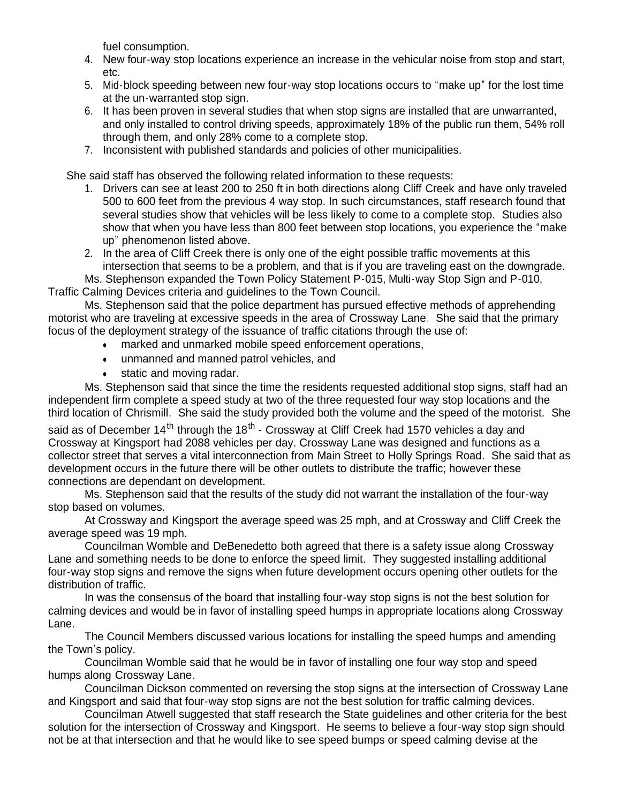fuel consumption.

- 4. New four-way stop locations experience an increase in the vehicular noise from stop and start, etc.
- 5. Mid-block speeding between new four-way stop locations occurs to "make up" for the lost time at the un-warranted stop sign.
- 6. It has been proven in several studies that when stop signs are installed that are unwarranted, and only installed to control driving speeds, approximately 18% of the public run them, 54% roll through them, and only 28% come to a complete stop.
- 7. Inconsistent with published standards and policies of other municipalities.

She said staff has observed the following related information to these requests:

- 1. Drivers can see at least 200 to 250 ft in both directions along Cliff Creek and have only traveled 500 to 600 feet from the previous 4 way stop. In such circumstances, staff research found that several studies show that vehicles will be less likely to come to a complete stop. Studies also show that when you have less than 800 feet between stop locations, you experience the "make up" phenomenon listed above.
- 2. In the area of Cliff Creek there is only one of the eight possible traffic movements at this intersection that seems to be a problem, and that is if you are traveling east on the downgrade.

Ms. Stephenson expanded the Town Policy Statement P-015, Multi-way Stop Sign and P-010, Traffic Calming Devices criteria and guidelines to the Town Council.

Ms. Stephenson said that the police department has pursued effective methods of apprehending motorist who are traveling at excessive speeds in the area of Crossway Lane. She said that the primary focus of the deployment strategy of the issuance of traffic citations through the use of:

- marked and unmarked mobile speed enforcement operations,
- unmanned and manned patrol vehicles, and
- static and moving radar.

Ms. Stephenson said that since the time the residents requested additional stop signs, staff had an independent firm complete a speed study at two of the three requested four way stop locations and the third location of Chrismill. She said the study provided both the volume and the speed of the motorist. She

said as of December 14<sup>th</sup> through the 18<sup>th</sup> - Crossway at Cliff Creek had 1570 vehicles a day and Crossway at Kingsport had 2088 vehicles per day. Crossway Lane was designed and functions as a collector street that serves a vital interconnection from Main Street to Holly Springs Road. She said that as development occurs in the future there will be other outlets to distribute the traffic; however these connections are dependant on development.

Ms. Stephenson said that the results of the study did not warrant the installation of the four-way stop based on volumes.

At Crossway and Kingsport the average speed was 25 mph, and at Crossway and Cliff Creek the average speed was 19 mph.

 Councilman Womble and DeBenedetto both agreed that there is a safety issue along Crossway Lane and something needs to be done to enforce the speed limit. They suggested installing additional four-way stop signs and remove the signs when future development occurs opening other outlets for the distribution of traffic.

 In was the consensus of the board that installing four-way stop signs is not the best solution for calming devices and would be in favor of installing speed humps in appropriate locations along Crossway Lane.

 The Council Members discussed various locations for installing the speed humps and amending the Town's policy.

Councilman Womble said that he would be in favor of installing one four way stop and speed humps along Crossway Lane.

Councilman Dickson commented on reversing the stop signs at the intersection of Crossway Lane and Kingsport and said that four-way stop signs are not the best solution for traffic calming devices.

Councilman Atwell suggested that staff research the State guidelines and other criteria for the best solution for the intersection of Crossway and Kingsport. He seems to believe a four-way stop sign should not be at that intersection and that he would like to see speed bumps or speed calming devise at the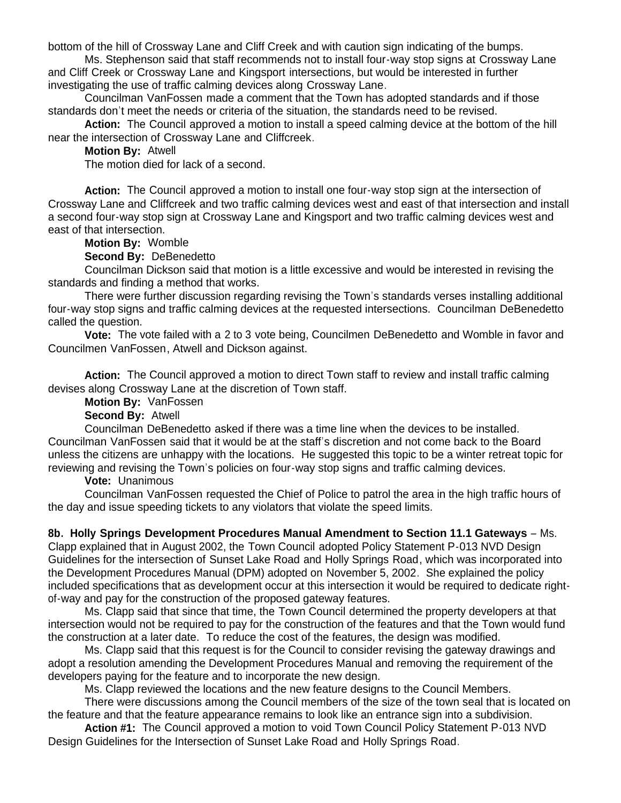bottom of the hill of Crossway Lane and Cliff Creek and with caution sign indicating of the bumps.

Ms. Stephenson said that staff recommends not to install four-way stop signs at Crossway Lane and Cliff Creek or Crossway Lane and Kingsport intersections, but would be interested in further investigating the use of traffic calming devices along Crossway Lane.

Councilman VanFossen made a comment that the Town has adopted standards and if those standards don't meet the needs or criteria of the situation, the standards need to be revised.

**Action:** The Council approved a motion to install a speed calming device at the bottom of the hill near the intersection of Crossway Lane and Cliffcreek.

**Motion By:** Atwell

The motion died for lack of a second.

**Action:** The Council approved a motion to install one four-way stop sign at the intersection of Crossway Lane and Cliffcreek and two traffic calming devices west and east of that intersection and install a second four-way stop sign at Crossway Lane and Kingsport and two traffic calming devices west and east of that intersection.

**Motion By:** Womble

**Second By:** DeBenedetto

 Councilman Dickson said that motion is a little excessive and would be interested in revising the standards and finding a method that works.

There were further discussion regarding revising the Town's standards verses installing additional four-way stop signs and traffic calming devices at the requested intersections. Councilman DeBenedetto called the question.

 **Vote:** The vote failed with a 2 to 3 vote being, Councilmen DeBenedetto and Womble in favor and Councilmen VanFossen, Atwell and Dickson against.

**Action:** The Council approved a motion to direct Town staff to review and install traffic calming devises along Crossway Lane at the discretion of Town staff.

**Motion By:** VanFossen

**Second By:** Atwell

 Councilman DeBenedetto asked if there was a time line when the devices to be installed. Councilman VanFossen said that it would be at the staff's discretion and not come back to the Board unless the citizens are unhappy with the locations. He suggested this topic to be a winter retreat topic for reviewing and revising the Town's policies on four-way stop signs and traffic calming devices.

**Vote:** Unanimous

 Councilman VanFossen requested the Chief of Police to patrol the area in the high traffic hours of the day and issue speeding tickets to any violators that violate the speed limits.

**8b. Holly Springs Development Procedures Manual Amendment to Section 11.1 Gateways** – Ms. Clapp explained that in August 2002, the Town Council adopted Policy Statement P-013 NVD Design Guidelines for the intersection of Sunset Lake Road and Holly Springs Road, which was incorporated into the Development Procedures Manual (DPM) adopted on November 5, 2002. She explained the policy included specifications that as development occur at this intersection it would be required to dedicate rightof-way and pay for the construction of the proposed gateway features.

Ms. Clapp said that since that time, the Town Council determined the property developers at that intersection would not be required to pay for the construction of the features and that the Town would fund the construction at a later date. To reduce the cost of the features, the design was modified.

Ms. Clapp said that this request is for the Council to consider revising the gateway drawings and adopt a resolution amending the Development Procedures Manual and removing the requirement of the developers paying for the feature and to incorporate the new design.

Ms. Clapp reviewed the locations and the new feature designs to the Council Members.

There were discussions among the Council members of the size of the town seal that is located on the feature and that the feature appearance remains to look like an entrance sign into a subdivision.

**Action #1:** The Council approved a motion to void Town Council Policy Statement P-013 NVD Design Guidelines for the Intersection of Sunset Lake Road and Holly Springs Road.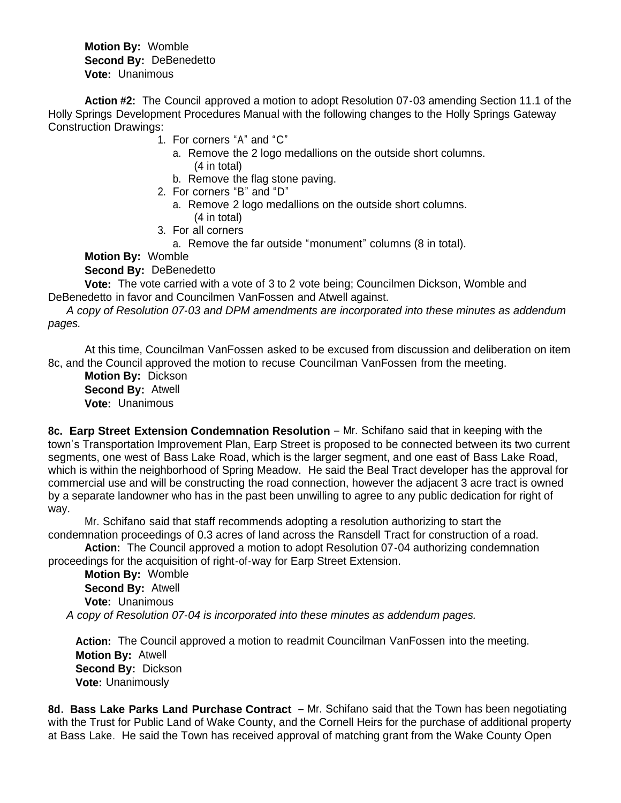**Motion By:** Womble **Second By:** DeBenedetto **Vote:** Unanimous

**Action #2:** The Council approved a motion to adopt Resolution 07-03 amending Section 11.1 of the Holly Springs Development Procedures Manual with the following changes to the Holly Springs Gateway Construction Drawings:

- 1. For corners "A" and "C"
	- a. Remove the 2 logo medallions on the outside short columns. (4 in total)
	- b. Remove the flag stone paving.
- 2. For corners "B" and "D"
	- a. Remove 2 logo medallions on the outside short columns. (4 in total)
- 3. For all corners
	- a. Remove the far outside "monument" columns (8 in total).

**Motion By:** Womble

**Second By:** DeBenedetto

 **Vote:** The vote carried with a vote of 3 to 2 vote being; Councilmen Dickson, Womble and DeBenedetto in favor and Councilmen VanFossen and Atwell against.

 *A copy of Resolution 07-03 and DPM amendments are incorporated into these minutes as addendum pages.*

At this time, Councilman VanFossen asked to be excused from discussion and deliberation on item 8c, and the Council approved the motion to recuse Councilman VanFossen from the meeting.

 **Motion By:** Dickson **Second By:** Atwell **Vote:** Unanimous

**8c. Earp Street Extension Condemnation Resolution** – Mr. Schifano said that in keeping with the town's Transportation Improvement Plan, Earp Street is proposed to be connected between its two current segments, one west of Bass Lake Road, which is the larger segment, and one east of Bass Lake Road, which is within the neighborhood of Spring Meadow. He said the Beal Tract developer has the approval for commercial use and will be constructing the road connection, however the adjacent 3 acre tract is owned by a separate landowner who has in the past been unwilling to agree to any public dedication for right of way.

Mr. Schifano said that staff recommends adopting a resolution authorizing to start the condemnation proceedings of 0.3 acres of land across the Ransdell Tract for construction of a road.

 **Action:** The Council approved a motion to adopt Resolution 07-04 authorizing condemnation proceedings for the acquisition of right-of-way for Earp Street Extension.

 **Motion By:** Womble **Second By:** Atwell **Vote:** Unanimous  *A copy of Resolution 07-04 is incorporated into these minutes as addendum pages.*

 **Action:** The Council approved a motion to readmit Councilman VanFossen into the meeting.  **Motion By:** Atwell  **Second By:** Dickson  **Vote:** Unanimously

**8d. Bass Lake Parks Land Purchase Contract** – Mr. Schifano said that the Town has been negotiating with the Trust for Public Land of Wake County, and the Cornell Heirs for the purchase of additional property at Bass Lake. He said the Town has received approval of matching grant from the Wake County Open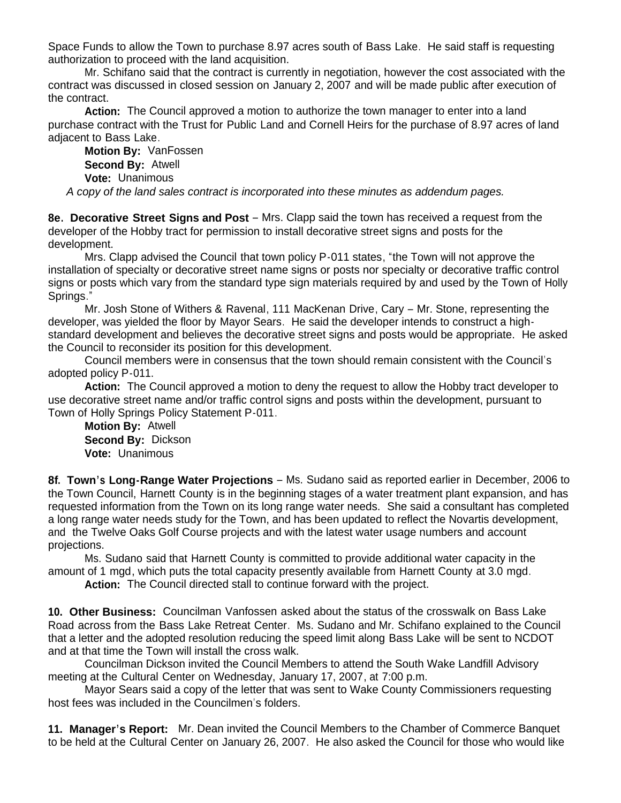Space Funds to allow the Town to purchase 8.97 acres south of Bass Lake. He said staff is requesting authorization to proceed with the land acquisition.

Mr. Schifano said that the contract is currently in negotiation, however the cost associated with the contract was discussed in closed session on January 2, 2007 and will be made public after execution of the contract.

**Action:** The Council approved a motion to authorize the town manager to enter into a land purchase contract with the Trust for Public Land and Cornell Heirs for the purchase of 8.97 acres of land adjacent to Bass Lake.

 **Motion By:** VanFossen **Second By:** Atwell **Vote:** Unanimous

 *A copy of the land sales contract is incorporated into these minutes as addendum pages.*

**8e. Decorative Street Signs and Post** – Mrs. Clapp said the town has received a request from the developer of the Hobby tract for permission to install decorative street signs and posts for the development.

 Mrs. Clapp advised the Council that town policy P-011 states, "the Town will not approve the installation of specialty or decorative street name signs or posts nor specialty or decorative traffic control signs or posts which vary from the standard type sign materials required by and used by the Town of Holly Springs."

Mr. Josh Stone of Withers & Ravenal, 111 MacKenan Drive, Cary – Mr. Stone, representing the developer, was yielded the floor by Mayor Sears. He said the developer intends to construct a highstandard development and believes the decorative street signs and posts would be appropriate. He asked the Council to reconsider its position for this development.

Council members were in consensus that the town should remain consistent with the Council's adopted policy P-011.

**Action:** The Council approved a motion to deny the request to allow the Hobby tract developer to use decorative street name and/or traffic control signs and posts within the development, pursuant to Town of Holly Springs Policy Statement P-011.

 **Motion By:** Atwell **Second By:** Dickson **Vote:** Unanimous

**8f. Town's Long-Range Water Projections** – Ms. Sudano said as reported earlier in December, 2006 to the Town Council, Harnett County is in the beginning stages of a water treatment plant expansion, and has requested information from the Town on its long range water needs. She said a consultant has completed a long range water needs study for the Town, and has been updated to reflect the Novartis development, and the Twelve Oaks Golf Course projects and with the latest water usage numbers and account projections.

Ms. Sudano said that Harnett County is committed to provide additional water capacity in the amount of 1 mgd, which puts the total capacity presently available from Harnett County at 3.0 mgd.

**Action:** The Council directed stall to continue forward with the project.

**10. Other Business:** Councilman Vanfossen asked about the status of the crosswalk on Bass Lake Road across from the Bass Lake Retreat Center. Ms. Sudano and Mr. Schifano explained to the Council that a letter and the adopted resolution reducing the speed limit along Bass Lake will be sent to NCDOT and at that time the Town will install the cross walk.

Councilman Dickson invited the Council Members to attend the South Wake Landfill Advisory meeting at the Cultural Center on Wednesday, January 17, 2007, at 7:00 p.m.

Mayor Sears said a copy of the letter that was sent to Wake County Commissioners requesting host fees was included in the Councilmen's folders.

**11. Manager's Report:** Mr. Dean invited the Council Members to the Chamber of Commerce Banquet to be held at the Cultural Center on January 26, 2007. He also asked the Council for those who would like